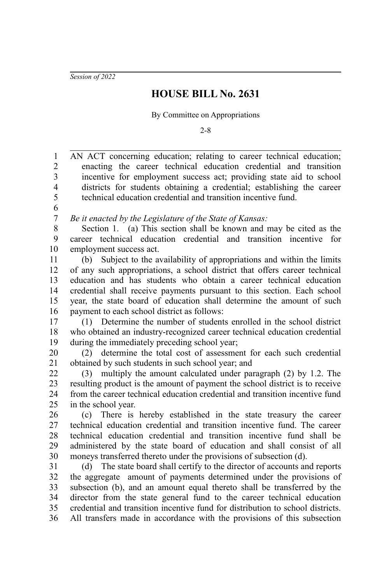*Session of 2022*

## **HOUSE BILL No. 2631**

By Committee on Appropriations

2-8

AN ACT concerning education; relating to career technical education; enacting the career technical education credential and transition incentive for employment success act; providing state aid to school districts for students obtaining a credential; establishing the career technical education credential and transition incentive fund. *Be it enacted by the Legislature of the State of Kansas:* Section 1. (a) This section shall be known and may be cited as the career technical education credential and transition incentive for employment success act. (b) Subject to the availability of appropriations and within the limits of any such appropriations, a school district that offers career technical education and has students who obtain a career technical education credential shall receive payments pursuant to this section. Each school year, the state board of education shall determine the amount of such payment to each school district as follows: (1) Determine the number of students enrolled in the school district who obtained an industry-recognized career technical education credential during the immediately preceding school year; (2) determine the total cost of assessment for each such credential obtained by such students in such school year; and (3) multiply the amount calculated under paragraph (2) by 1.2. The resulting product is the amount of payment the school district is to receive from the career technical education credential and transition incentive fund in the school year. (c) There is hereby established in the state treasury the career technical education credential and transition incentive fund. The career technical education credential and transition incentive fund shall be administered by the state board of education and shall consist of all moneys transferred thereto under the provisions of subsection (d). (d) The state board shall certify to the director of accounts and reports the aggregate amount of payments determined under the provisions of subsection (b), and an amount equal thereto shall be transferred by the director from the state general fund to the career technical education credential and transition incentive fund for distribution to school districts. All transfers made in accordance with the provisions of this subsection 1 2 3 4 5 6 7 8 9 10 11 12 13 14 15 16 17 18 19 20 21 22  $23$ 24 25 26 27 28 29 30 31 32 33 34 35 36